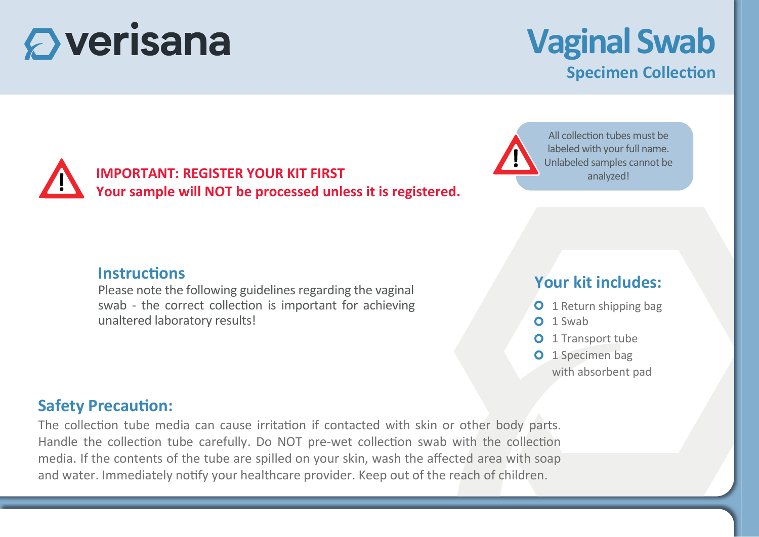# $\mathbf \mathbf{\Omega}$  verisana

## **Vaginal Swab Specimen Collection**

### **IMPORTANT: REGISTER YOUR KIT FIRST Your sample will NOT be processed unless it is registered.**



All collection tubes must be labeled with your full name. Unlabeled samples cannot be analyzed!

#### **Instructions**

Please note the following guidelines regarding the vaginal swab - the correct collection is important for achieving unaltered laboratory results!

### **Your kit includes:**



- $O<sub>1</sub>$  Swab
- **O** 1 Transport tube
- O 1 Specimen bag with absorbent pad

#### **Safety Precaution:**

The collection tube media can cause irritation if contacted with skin or other body parts. Handle the collection tube carefully. Do NOT pre-wet collection swab with the collection media. If the contents of the tube are spilled on your skin, wash the affected area with soap and water. Immediately no�fy your healthcare provider. Keep out of the reach of children.